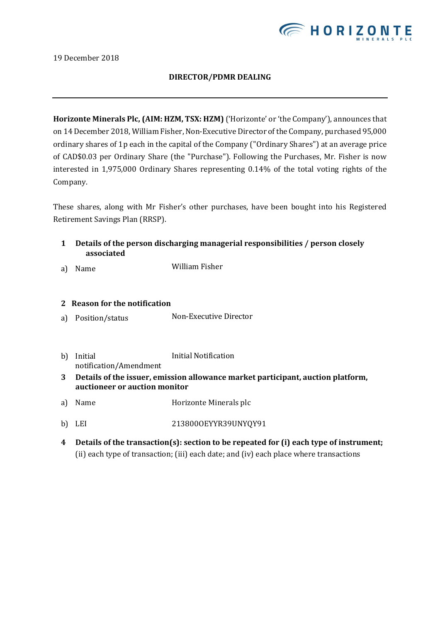

19 December 2018

## DIRECTOR/PDMR DEALING

Horizonte Minerals Plc, (AIM: HZM, TSX: HZM) ('Horizonte' or 'the Company'), announces that on 14 December 2018, William Fisher, Non-Executive Director of the Company, purchased 95,000 ordinary shares of 1p each in the capital of the Company ("Ordinary Shares") at an average price of CAD\$0.03 per Ordinary Share (the "Purchase"). Following the Purchases, Mr. Fisher is now interested in 1,975,000 Ordinary Shares representing 0.14% of the total voting rights of the Company.

These shares, along with Mr Fisher's other purchases, have been bought into his Registered Retirement Savings Plan (RRSP).

- 1 Details of the person discharging managerial responsibilities / person closely associated
- a) Name William Fisher
- 2 Reason for the notification
- a) Position/status Non-Executive Director
- b) Initial notification/Amendment Initial Notification
- 3 Details of the issuer, emission allowance market participant, auction platform, auctioneer or auction monitor
- a) Name Horizonte Minerals plc
- b) LEI 213800OEYYR39UNYQY91
- 4 Details of the transaction(s): section to be repeated for (i) each type of instrument; (ii) each type of transaction; (iii) each date; and (iv) each place where transactions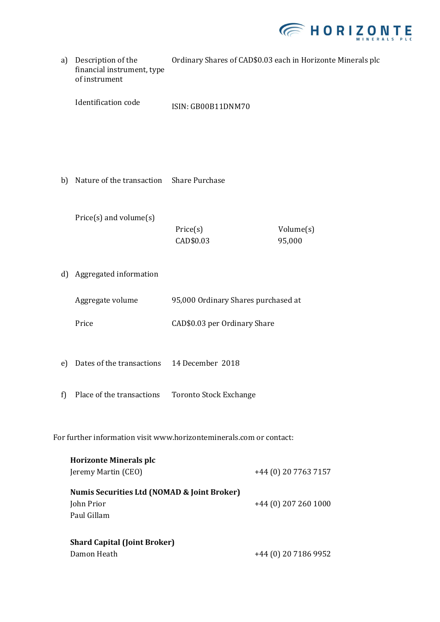

| a) Description of the      | Ordinary Shares of CAD\$0.03 each in Horizonte Minerals plc |
|----------------------------|-------------------------------------------------------------|
| financial instrument, type |                                                             |
| of instrument              |                                                             |

b) Nature of the transaction Share Purchase

Price(s) and volume(s)

| Price(s)  | Volume(s) |
|-----------|-----------|
| CAD\$0.03 | 95,000    |

d) Aggregated information

| Aggregate volume | 95,000 Ordinary Shares purchased at |
|------------------|-------------------------------------|
|                  |                                     |

Price CAD\$0.03 per Ordinary Share

- e) Dates of the transactions 14 December 2018
- f) Place of the transactions Toronto Stock Exchange

For further information visit www.horizonteminerals.com or contact:

| <b>Horizonte Minerals plc</b>                          |                       |  |  |  |
|--------------------------------------------------------|-----------------------|--|--|--|
| Jeremy Martin (CEO)                                    | +44 (0) 20 7763 7157  |  |  |  |
|                                                        |                       |  |  |  |
| <b>Numis Securities Ltd (NOMAD &amp; Joint Broker)</b> |                       |  |  |  |
| John Prior                                             | $+44(0)$ 207 260 1000 |  |  |  |
| Paul Gillam                                            |                       |  |  |  |
|                                                        |                       |  |  |  |
| <b>Shard Capital (Joint Broker)</b>                    |                       |  |  |  |
| Damon Heath                                            | +44 (0) 20 7186 9952  |  |  |  |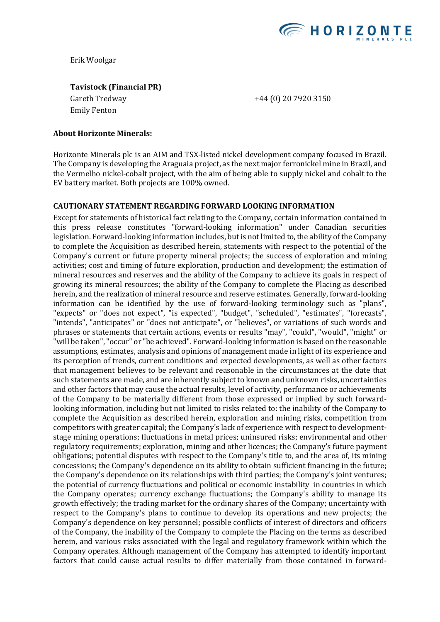

Erik Woolgar

Tavistock (Financial PR) Gareth Tredway Emily Fenton

+44 (0) 20 7920 3150

## About Horizonte Minerals:

Horizonte Minerals plc is an AIM and TSX-listed nickel development company focused in Brazil. The Company is developing the Araguaia project, as the next major ferronickel mine in Brazil, and the Vermelho nickel-cobalt project, with the aim of being able to supply nickel and cobalt to the EV battery market. Both projects are 100% owned.

## CAUTIONARY STATEMENT REGARDING FORWARD LOOKING INFORMATION

Except for statements of historical fact relating to the Company, certain information contained in this press release constitutes "forward-looking information" under Canadian securities legislation. Forward-looking information includes, but is not limited to, the ability of the Company to complete the Acquisition as described herein, statements with respect to the potential of the Company's current or future property mineral projects; the success of exploration and mining activities; cost and timing of future exploration, production and development; the estimation of mineral resources and reserves and the ability of the Company to achieve its goals in respect of growing its mineral resources; the ability of the Company to complete the Placing as described herein, and the realization of mineral resource and reserve estimates. Generally, forward-looking information can be identified by the use of forward-looking terminology such as "plans", "expects" or "does not expect", "is expected", "budget", "scheduled", "estimates", "forecasts", "intends", "anticipates" or "does not anticipate", or "believes", or variations of such words and phrases or statements that certain actions, events or results "may", "could", "would", "might" or "will be taken", "occur" or "be achieved". Forward-looking information is based on the reasonable assumptions, estimates, analysis and opinions of management made in light of its experience and its perception of trends, current conditions and expected developments, as well as other factors that management believes to be relevant and reasonable in the circumstances at the date that such statements are made, and are inherently subject to known and unknown risks, uncertainties and other factors that may cause the actual results, level of activity, performance or achievements of the Company to be materially different from those expressed or implied by such forwardlooking information, including but not limited to risks related to: the inability of the Company to complete the Acquisition as described herein, exploration and mining risks, competition from competitors with greater capital; the Company's lack of experience with respect to developmentstage mining operations; fluctuations in metal prices; uninsured risks; environmental and other regulatory requirements; exploration, mining and other licences; the Company's future payment obligations; potential disputes with respect to the Company's title to, and the area of, its mining concessions; the Company's dependence on its ability to obtain sufficient financing in the future; the Company's dependence on its relationships with third parties; the Company's joint ventures; the potential of currency fluctuations and political or economic instability in countries in which the Company operates; currency exchange fluctuations; the Company's ability to manage its growth effectively; the trading market for the ordinary shares of the Company; uncertainty with respect to the Company's plans to continue to develop its operations and new projects; the Company's dependence on key personnel; possible conflicts of interest of directors and officers of the Company, the inability of the Company to complete the Placing on the terms as described herein, and various risks associated with the legal and regulatory framework within which the Company operates. Although management of the Company has attempted to identify important factors that could cause actual results to differ materially from those contained in forward-